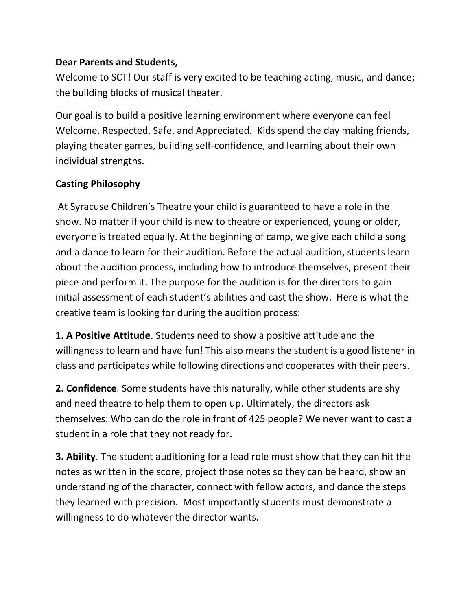## **Dear Parents and Students,**

Welcome to SCT! Our staff is very excited to be teaching acting, music, and dance; the building blocks of musical theater.

Our goal is to build a positive learning environment where everyone can feel Welcome, Respected, Safe, and Appreciated. Kids spend the day making friends, playing theater games, building self-confidence, and learning about their own individual strengths.

## **Casting Philosophy**

At Syracuse Children's Theatre your child is guaranteed to have a role in the show. No matter if your child is new to theatre or experienced, young or older, everyone is treated equally. At the beginning of camp, we give each child a song and a dance to learn for their audition. Before the actual audition, students learn about the audition process, including how to introduce themselves, present their piece and perform it. The purpose for the audition is for the directors to gain initial assessment of each student's abilities and cast the show. Here is what the creative team is looking for during the audition process:

**1. A Positive Attitude**. Students need to show a positive attitude and the willingness to learn and have fun! This also means the student is a good listener in class and participates while following directions and cooperates with their peers.

**2. Confidence**. Some students have this naturally, while other students are shy and need theatre to help them to open up. Ultimately, the directors ask themselves: Who can do the role in front of 425 people? We never want to cast a student in a role that they not ready for.

**3. Ability**. The student auditioning for a lead role must show that they can hit the notes as written in the score, project those notes so they can be heard, show an understanding of the character, connect with fellow actors, and dance the steps they learned with precision. Most importantly students must demonstrate a willingness to do whatever the director wants.